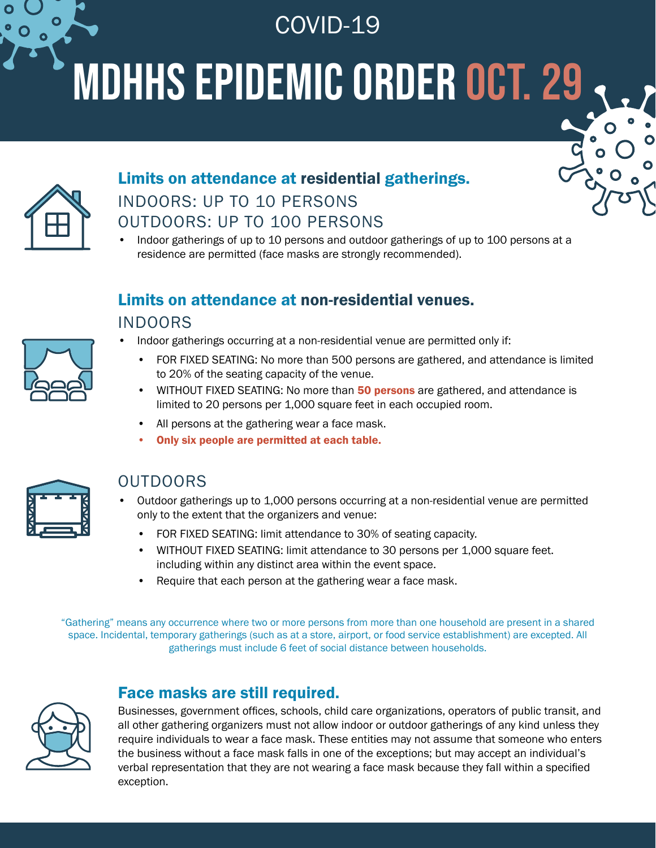COVID-19

# MDHHS Epidemic order OCT. 29



# Limits on attendance at residential gatherings. INDOORS: UP TO 10 PERSONS OUTDOORS: UP TO 100 PERSONS

• Indoor gatherings of up to 10 persons and outdoor gatherings of up to 100 persons at a residence are permitted (face masks are strongly recommended).

# Limits on attendance at non-residential venues.

#### INDOORS

- Indoor gatherings occurring at a non-residential venue are permitted only if:
	- FOR FIXED SEATING: No more than 500 persons are gathered, and attendance is limited to 20% of the seating capacity of the venue.
	- WITHOUT FIXED SEATING: No more than 50 persons are gathered, and attendance is limited to 20 persons per 1,000 square feet in each occupied room.
	- All persons at the gathering wear a face mask.
		- Only six people are permitted at each table.



#### OUTDOORS

- Outdoor gatherings up to 1,000 persons occurring at a non-residential venue are permitted only to the extent that the organizers and venue:
	- FOR FIXED SEATING: limit attendance to 30% of seating capacity.
	- WITHOUT FIXED SEATING: limit attendance to 30 persons per 1,000 square feet. including within any distinct area within the event space.
	- Require that each person at the gathering wear a face mask.

"Gathering" means any occurrence where two or more persons from more than one household are present in a shared space. Incidental, temporary gatherings (such as at a store, airport, or food service establishment) are excepted. All gatherings must include 6 feet of social distance between households.

#### Face masks are still required.



Businesses, government offices, schools, child care organizations, operators of public transit, and all other gathering organizers must not allow indoor or outdoor gatherings of any kind unless they require individuals to wear a face mask. These entities may not assume that someone who enters the business without a face mask falls in one of the exceptions; but may accept an individual's verbal representation that they are not wearing a face mask because they fall within a specified exception.